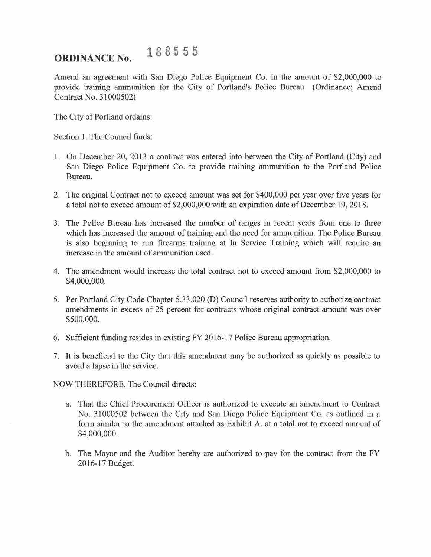## **ORDINANCE No. 188555**

Amend an agreement with San Diego Police Equipment Co. in the amount of \$2,000,000 to provide training ammunition for the City of Portland's Police Bureau (Ordinance; Amend Contract No. 31000502)

The City of Portland ordains:

Section 1. The Council finds:

- 1. On December 20, 2013 a contract was entered into between the City of Portland (City) and San Diego Police Equipment Co. to provide training ammunition to the Portland Police Bureau.
- 2. The original Contract not to exceed amount was set for \$400,000 per year over five years for a total not to exceed amount of \$2,000,000 with an expiration date of December 19, 2018.
- 3. The Police Bureau has increased the number of ranges in recent years from one to three which has increased the amount of training and the need for ammunition. The Police Bureau is also beginning to run firearms training at In Service Training which will require an increase in the amount of ammunition used.
- 4. The amendment would increase the total contract not to exceed amount from \$2,000,000 to \$4,000,000.
- 5. Per Portland City Code Chapter 5.33.020 (D) Council reserves authority to authorize contract amendments in excess of 25 percent for contracts whose original contract amount was over \$500,000.
- 6. Sufficient funding resides in existing FY 2016-17 Police Bureau appropriation.
- 7. It is beneficial to the City that this amendment may be authorized as quickly as possible to avoid a lapse in the service.

NOW THEREFORE, The Council directs:

- a. That the Chief Procurement Officer is authorized to execute an amendment to Contract No. 31000502 between the City and San Diego Police Equipment Co. as outlined in a form similar to the amendment attached as Exhibit A, at a total not to exceed amount of \$4,000,000.
- b. The Mayor and the Auditor hereby are authorized to pay for the contract from the FY 2016-17 Budget.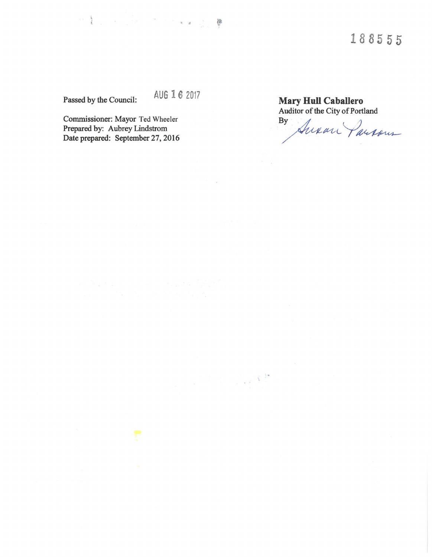Passed by the Council: AUG *16* <sup>2017</sup>

Commissioner: Mayor Ted Wheeler Prepared by: Aubrey Lindstrom Date prepared: September 27, 2016 **Mary Hull Caballero**  Auditor of the City of Portland<br>By

Auxan Parsons

 $\label{eq:R1} \mathbb{E} \left[ \begin{array}{cc} \mathbb{E} \left[ \begin{array}{cc} \mathbb{E} \left[ \begin{array}{cc} \mathbb{E} \left[ \begin{array}{cc} \mathbb{E} \left[ \begin{array}{cc} \mathbb{E} \left[ \begin{array}{cc} \mathbb{E} \left[ \begin{array}{cc} \mathbb{E} \left[ \begin{array}{cc} \mathbb{E} \left[ \begin{array}{cc} \mathbb{E} \left[ \begin{array}{cc} \mathbb{E} \left[ \begin{array}{ccc} \mathbb{E} \left[ \begin{array}{ccc} \mathbb{E} \left[ \begin{array}{ccc} \mathbb{$